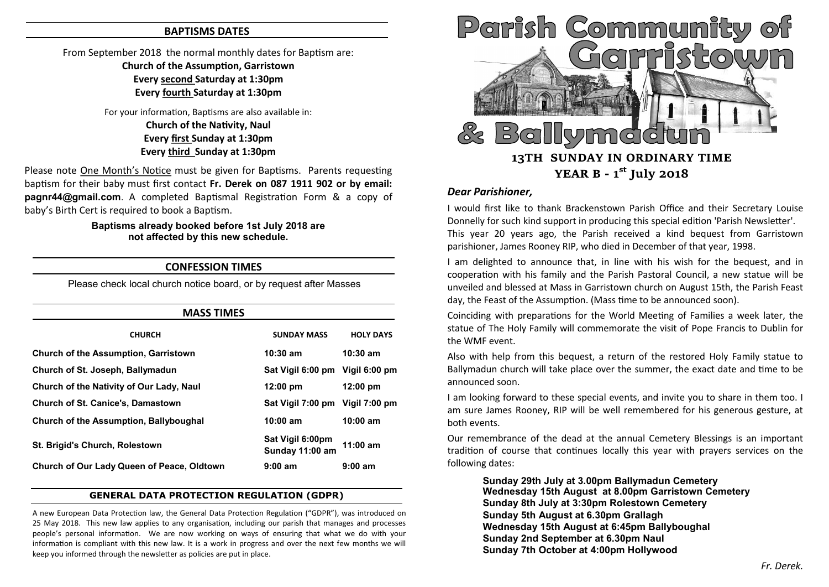### **BAPTISMS DATES**

# From September 2018 the normal monthly dates for Baptism are: **Church of the Assumption, Garristown Every second Saturday at 1:30pm Every fourth Saturday at 1:30pm**

For your information, Baptisms are also available in: **Church of the Nativity, Naul Every first Sunday at 1:30pm Every third Sunday at 1:30pm**

Please note One Month's Notice must be given for Baptisms. Parents requesting baptism for their baby must first contact **Fr. Derek on 087 1911 902 or by email: pagnr44@gmail.com**. A completed Baptismal Registration Form & a copy of baby's Birth Cert is required to book a Baptism.

#### **Baptisms already booked before 1st July 2018 are not affected by this new schedule.**

## **CONFESSION TIMES**

Please check local church notice board, or by request after Masses

| <b>MASS TIMES</b>                           |                                     |                    |
|---------------------------------------------|-------------------------------------|--------------------|
| <b>CHURCH</b>                               | <b>SUNDAY MASS</b>                  | <b>HOLY DAYS</b>   |
| <b>Church of the Assumption, Garristown</b> | $10:30$ am                          | $10:30$ am         |
| Church of St. Joseph, Ballymadun            | Sat Vigil 6:00 pm Vigil 6:00 pm     |                    |
| Church of the Nativity of Our Lady, Naul    | $12:00 \text{ pm}$                  | $12:00 \text{ pm}$ |
| <b>Church of St. Canice's, Damastown</b>    | Sat Vigil 7:00 pm Vigil 7:00 pm     |                    |
| Church of the Assumption, Ballyboughal      | $10:00$ am                          | $10:00$ am         |
| St. Brigid's Church, Rolestown              | Sat Vigil 6:00pm<br>Sunday 11:00 am | $11:00$ am         |
| Church of Our Lady Queen of Peace, Oldtown  | $9:00$ am                           | 9:00 am            |

#### **GENERAL DATA PROTECTION REGULATION (GDPR)**

A new European Data Protection law, the General Data Protection Regulation ("GDPR"), was introduced on 25 May 2018. This new law applies to any organisation, including our parish that manages and processes people's personal information. We are now working on ways of ensuring that what we do with your information is compliant with this new law. It is a work in progress and over the next few months we will keep you informed through the newsletter as policies are put in place.



# *Dear Parishioner,*

I would first like to thank Brackenstown Parish Office and their Secretary Louise Donnelly for such kind support in producing this special edition 'Parish Newsletter'. This year 20 years ago, the Parish received a kind bequest from Garristown parishioner, James Rooney RIP, who died in December of that year, 1998.

I am delighted to announce that, in line with his wish for the bequest, and in cooperation with his family and the Parish Pastoral Council, a new statue will be unveiled and blessed at Mass in Garristown church on August 15th, the Parish Feast day, the Feast of the Assumption. (Mass time to be announced soon).

Coinciding with preparations for the World Meeting of Families a week later, the statue of The Holy Family will commemorate the visit of Pope Francis to Dublin for the WMF event.

Also with help from this bequest, a return of the restored Holy Family statue to Ballymadun church will take place over the summer, the exact date and time to be announced soon.

I am looking forward to these special events, and invite you to share in them too. I am sure James Rooney, RIP will be well remembered for his generous gesture, at both events.

Our remembrance of the dead at the annual Cemetery Blessings is an important tradition of course that continues locally this year with prayers services on the following dates:

**Sunday 29th July at 3.00pm Ballymadun Cemetery Wednesday 15th August at 8.00pm Garristown Cemetery Sunday 8th July at 3:30pm Rolestown Cemetery Sunday 5th August at 6.30pm Grallagh Wednesday 15th August at 6:45pm Ballyboughal Sunday 2nd September at 6.30pm Naul Sunday 7th October at 4:00pm Hollywood**